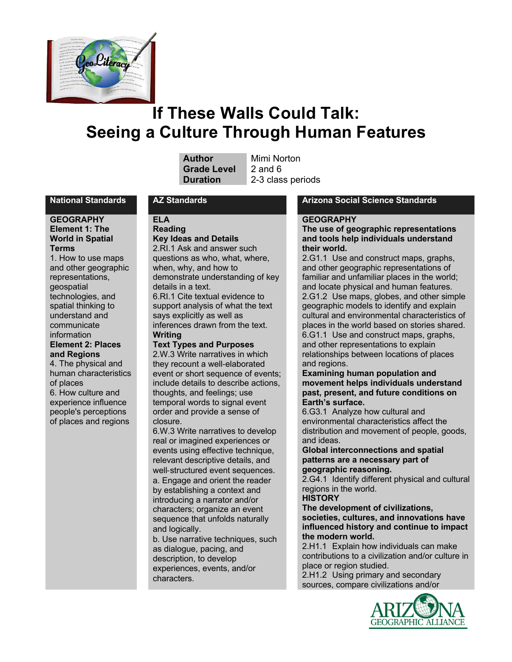

# **If These Walls Could Talk: Seeing a Culture Through Human Features**

| Author             |
|--------------------|
| <b>Grade Level</b> |
| Duration           |

**Mimi Norton 2** and 6 **Duration** 2-3 class periods

#### **GEOGRAPHY Element 1: The World in Spatial Terms**

1. How to use maps and other geographic representations, geospatial technologies, and spatial thinking to understand and communicate information **Element 2: Places and Regions** 4. The physical and human characteristics of places 6. How culture and experience influence people's perceptions

of places and regions

**ELA Reading**

## **Key Ideas and Details**

2.RI.1 Ask and answer such questions as who, what, where, when, why, and how to demonstrate understanding of key details in a text. 6.RI.1 Cite textual evidence to

support analysis of what the text says explicitly as well as inferences drawn from the text. **Writing**

## **Text Types and Purposes**

2.W.3 Write narratives in which they recount a well-elaborated event or short sequence of events; include details to describe actions, thoughts, and feelings; use temporal words to signal event order and provide a sense of closure.

6.W.3 Write narratives to develop real or imagined experiences or events using effective technique, relevant descriptive details, and well-structured event sequences. a. Engage and orient the reader by establishing a context and introducing a narrator and/or characters; organize an event sequence that unfolds naturally and logically.

b. Use narrative techniques, such as dialogue, pacing, and description, to develop experiences, events, and/or characters.

#### **National Standards AZ Standards Arizona Social Science Standards**

#### **GEOGRAPHY**

**The use of geographic representations and tools help individuals understand their world.**

2.G1.1 Use and construct maps, graphs, and other geographic representations of familiar and unfamiliar places in the world; and locate physical and human features. 2.G1.2 Use maps, globes, and other simple geographic models to identify and explain cultural and environmental characteristics of places in the world based on stories shared. 6.G1.1 Use and construct maps, graphs, and other representations to explain relationships between locations of places and regions.

#### **Examining human population and movement helps individuals understand past, present, and future conditions on Earth's surface.**

6.G3.1 Analyze how cultural and environmental characteristics affect the distribution and movement of people, goods, and ideas.

#### **Global interconnections and spatial patterns are a necessary part of geographic reasoning.**

2.G4.1 Identify different physical and cultural regions in the world.

#### **HISTORY**

**The development of civilizations, societies, cultures, and innovations have influenced history and continue to impact the modern world.**

2.H1.1 Explain how individuals can make contributions to a civilization and/or culture in place or region studied.

2.H1.2 Using primary and secondary sources, compare civilizations and/or

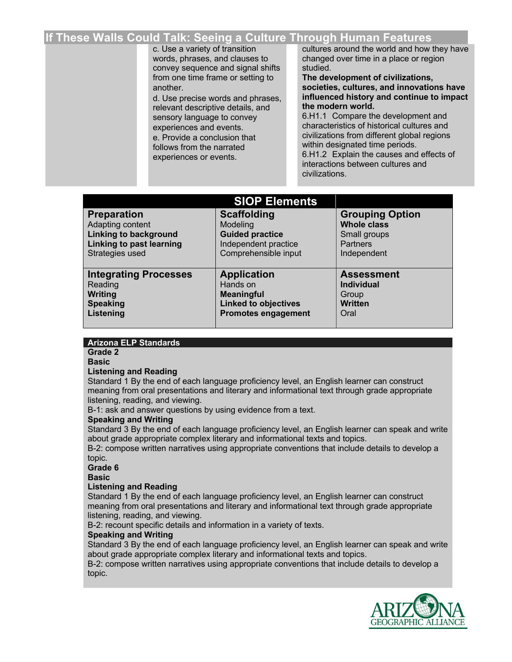## **If These Walls Could Talk: Seeing a Culture Through Human Features**

c. Use a variety of transition words, phrases, and clauses to convey sequence and signal shifts from one time frame or setting to another.

d. Use precise words and phrases, relevant descriptive details, and sensory language to convey experiences and events. e. Provide a conclusion that follows from the narrated experiences or events.

cultures around the world and how they have changed over time in a place or region studied.

**The development of civilizations, societies, cultures, and innovations have influenced history and continue to impact the modern world.**

6.H1.1 Compare the development and characteristics of historical cultures and civilizations from different global regions within designated time periods.

6.H1.2 Explain the causes and effects of interactions between cultures and civilizations.

| <b>SIOP Elements</b>         |                             |                        |  |
|------------------------------|-----------------------------|------------------------|--|
| <b>Preparation</b>           | <b>Scaffolding</b>          | <b>Grouping Option</b> |  |
| Adapting content             | Modeling                    | <b>Whole class</b>     |  |
| <b>Linking to background</b> | <b>Guided practice</b>      | Small groups           |  |
| Linking to past learning     | Independent practice        | <b>Partners</b>        |  |
| Strategies used              | Comprehensible input        | Independent            |  |
| <b>Integrating Processes</b> | <b>Application</b>          | <b>Assessment</b>      |  |
| Reading                      | Hands on                    | <b>Individual</b>      |  |
| Writing                      | <b>Meaningful</b>           | Group                  |  |
| <b>Speaking</b>              | <b>Linked to objectives</b> | <b>Written</b>         |  |
| Listening                    | <b>Promotes engagement</b>  | Oral                   |  |

#### **Arizona ELP Standards**

**Grade 2 Basic**

#### **Listening and Reading**

Standard 1 By the end of each language proficiency level, an English learner can construct meaning from oral presentations and literary and informational text through grade appropriate listening, reading, and viewing.

B-1: ask and answer questions by using evidence from a text.

#### **Speaking and Writing**

Standard 3 By the end of each language proficiency level, an English learner can speak and write about grade appropriate complex literary and informational texts and topics.

B-2: compose written narratives using appropriate conventions that include details to develop a topic.

**Grade 6**

**Basic**

#### **Listening and Reading**

Standard 1 By the end of each language proficiency level, an English learner can construct meaning from oral presentations and literary and informational text through grade appropriate listening, reading, and viewing.

B-2: recount specific details and information in a variety of texts.

#### **Speaking and Writing**

Standard 3 By the end of each language proficiency level, an English learner can speak and write about grade appropriate complex literary and informational texts and topics.

B-2: compose written narratives using appropriate conventions that include details to develop a topic.

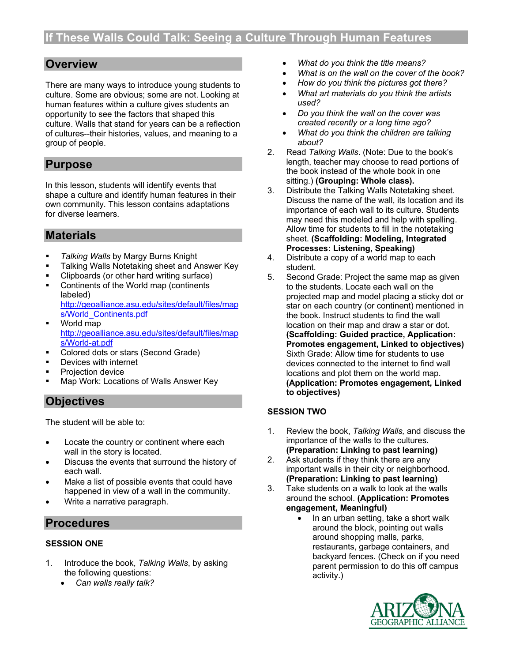## **Overview**

There are many ways to introduce young students to culture. Some are obvious; some are not. Looking at human features within a culture gives students an opportunity to see the factors that shaped this culture. Walls that stand for years can be a reflection of cultures--their histories, values, and meaning to a group of people.

## **Purpose**

In this lesson, students will identify events that shape a culture and identify human features in their own community. This lesson contains adaptations for diverse learners.

## **Materials**

- § *Talking Walls* by Margy Burns Knight
- Talking Walls Notetaking sheet and Answer Key
- § Clipboards (or other hard writing surface)
- Continents of the World map (continents labeled) http://geoalliance.asu.edu/sites/default/files/map
- s/World\_Continents.pdf ■ World map http://geoalliance.asu.edu/sites/default/files/map s/World-at.pdf
- Colored dots or stars (Second Grade)
- Devices with internet
- § Projection device
- § Map Work: Locations of Walls Answer Key

## **Objectives**

The student will be able to:

- Locate the country or continent where each wall in the story is located.
- Discuss the events that surround the history of each wall.
- Make a list of possible events that could have happened in view of a wall in the community.
- Write a narrative paragraph.

## **Procedures**

### **SESSION ONE**

- 1. Introduce the book, *Talking Walls*, by asking the following questions:
	- *Can walls really talk?*
- *What do you think the title means?*
- *What is on the wall on the cover of the book?*
- *How do you think the pictures got there?*
- *What art materials do you think the artists used?*
- *Do you think the wall on the cover was created recently or a long time ago?*
- *What do you think the children are talking about?*
- 2. Read *Talking Walls*. (Note: Due to the book's length, teacher may choose to read portions of the book instead of the whole book in one sitting.) **(Grouping: Whole class).**
- 3. Distribute the Talking Walls Notetaking sheet. Discuss the name of the wall, its location and its importance of each wall to its culture. Students may need this modeled and help with spelling. Allow time for students to fill in the notetaking sheet. **(Scaffolding: Modeling, Integrated Processes: Listening, Speaking)**
- 4. Distribute a copy of a world map to each student.
- 5. Second Grade: Project the same map as given to the students. Locate each wall on the projected map and model placing a sticky dot or star on each country (or continent) mentioned in the book. Instruct students to find the wall location on their map and draw a star or dot. **(Scaffolding: Guided practice, Application: Promotes engagement, Linked to objectives)** Sixth Grade: Allow time for students to use devices connected to the internet to find wall locations and plot them on the world map. **(Application: Promotes engagement, Linked to objectives)**

### **SESSION TWO**

- 1. Review the book, *Talking Walls,* and discuss the importance of the walls to the cultures. **(Preparation: Linking to past learning)**
- 2. Ask students if they think there are any important walls in their city or neighborhood. **(Preparation: Linking to past learning)**
- 3. Take students on a walk to look at the walls around the school. **(Application: Promotes engagement, Meaningful)**
	- In an urban setting, take a short walk around the block, pointing out walls around shopping malls, parks, restaurants, garbage containers, and backyard fences. (Check on if you need parent permission to do this off campus activity.)